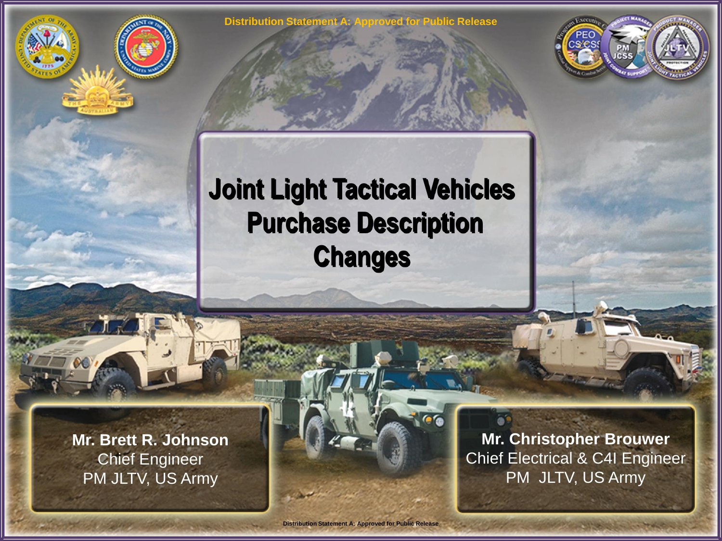

## **Joint Light Tactical Vehicles Purchase Description Changes**

**Mr. Brett R. Johnson** Chief Engineer PM JLTV, US Army

**Mr. Christopher Brouwer** Chief Electrical & C4I Engineer PM JLTV, US Army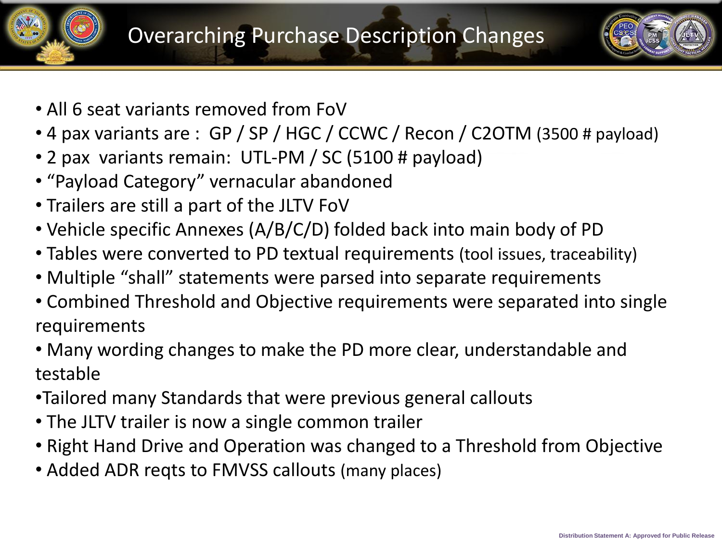



- All 6 seat variants removed from FoV
- 4 pax variants are : GP / SP / HGC / CCWC / Recon / C2OTM (3500 # payload)
- 2 pax variants remain: UTL-PM / SC (5100 # payload)
- "Payload Category" vernacular abandoned
- Trailers are still a part of the JLTV FoV
- Vehicle specific Annexes (A/B/C/D) folded back into main body of PD
- Tables were converted to PD textual requirements (tool issues, traceability)
- Multiple "shall" statements were parsed into separate requirements
- Combined Threshold and Objective requirements were separated into single requirements
- Many wording changes to make the PD more clear, understandable and testable
- •Tailored many Standards that were previous general callouts
- The JLTV trailer is now a single common trailer
- Right Hand Drive and Operation was changed to a Threshold from Objective
- Added ADR reqts to FMVSS callouts (many places)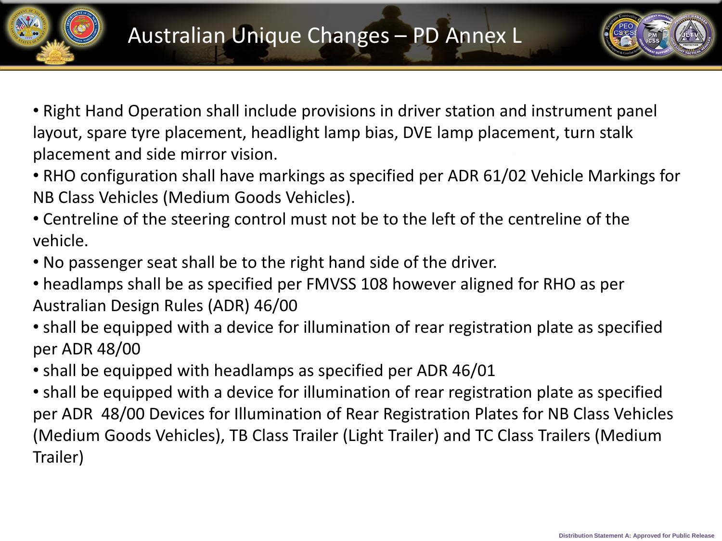



- Right Hand Operation shall include provisions in driver station and instrument panel layout, spare tyre placement, headlight lamp bias, DVE lamp placement, turn stalk placement and side mirror vision.
- RHO configuration shall have markings as specified per ADR 61/02 Vehicle Markings for NB Class Vehicles (Medium Goods Vehicles).
- Centreline of the steering control must not be to the left of the centreline of the vehicle.
- No passenger seat shall be to the right hand side of the driver.
- headlamps shall be as specified per FMVSS 108 however aligned for RHO as per Australian Design Rules (ADR) 46/00
- shall be equipped with a device for illumination of rear registration plate as specified per ADR 48/00
- shall be equipped with headlamps as specified per ADR 46/01
- shall be equipped with a device for illumination of rear registration plate as specified per ADR 48/00 Devices for Illumination of Rear Registration Plates for NB Class Vehicles (Medium Goods Vehicles), TB Class Trailer (Light Trailer) and TC Class Trailers (Medium Trailer)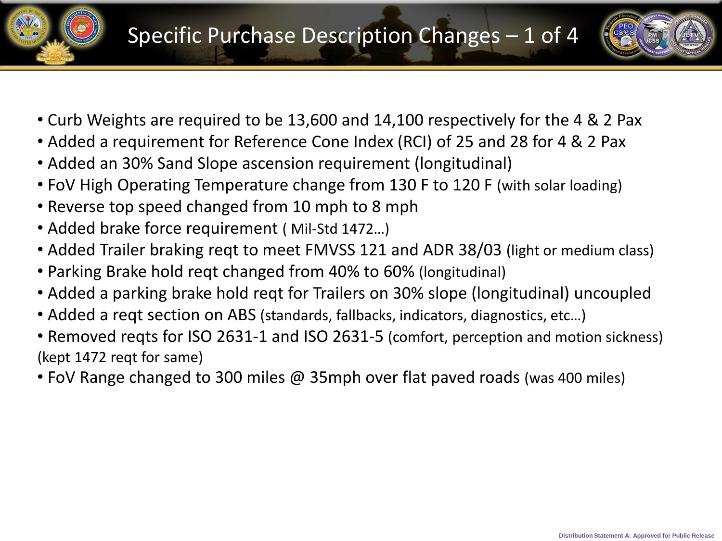



- Curb Weights are required to be 13,600 and 14,100 respectively for the 4 & 2 Pax
- Added a requirement for Reference Cone Index (RCI) of 25 and 28 for 4 & 2 Pax
- Added an 30% Sand Slope ascension requirement (longitudinal)
- FoV High Operating Temperature change from 130 F to 120 F (with solar loading)
- Reverse top speed changed from 10 mph to 8 mph
- Added brake force requirement ( Mil-Std 1472…)
- Added Trailer braking reqt to meet FMVSS 121 and ADR 38/03 (light or medium class)
- Parking Brake hold reqt changed from 40% to 60% (longitudinal)
- Added a parking brake hold reqt for Trailers on 30% slope (longitudinal) uncoupled
- Added a reqt section on ABS (standards, fallbacks, indicators, diagnostics, etc…)
- Removed reqts for ISO 2631-1 and ISO 2631-5 (comfort, perception and motion sickness) (kept 1472 reqt for same)
- FoV Range changed to 300 miles @ 35mph over flat paved roads (was 400 miles)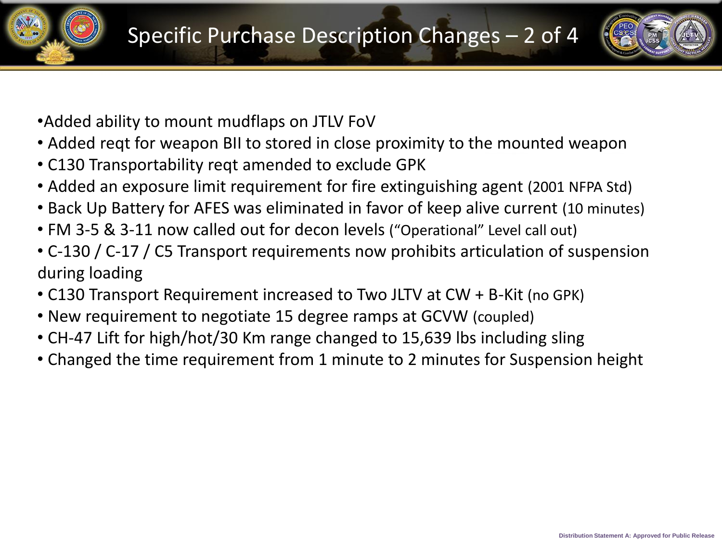

- •Added ability to mount mudflaps on JTLV FoV
- Added reqt for weapon BII to stored in close proximity to the mounted weapon
- C130 Transportability reqt amended to exclude GPK
- Added an exposure limit requirement for fire extinguishing agent (2001 NFPA Std)
- Back Up Battery for AFES was eliminated in favor of keep alive current (10 minutes)
- FM 3-5 & 3-11 now called out for decon levels ("Operational" Level call out)
- C-130 / C-17 / C5 Transport requirements now prohibits articulation of suspension during loading
- C130 Transport Requirement increased to Two JLTV at CW + B-Kit (no GPK)
- New requirement to negotiate 15 degree ramps at GCVW (coupled)
- CH-47 Lift for high/hot/30 Km range changed to 15,639 lbs including sling
- Changed the time requirement from 1 minute to 2 minutes for Suspension height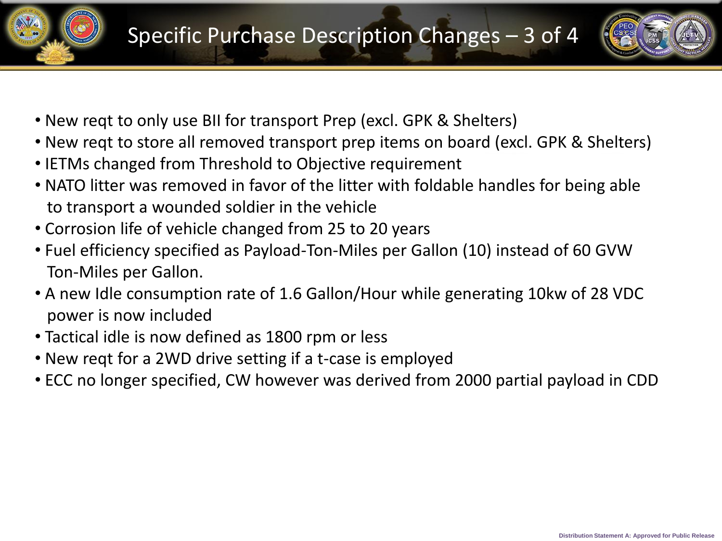



- New reqt to only use BII for transport Prep (excl. GPK & Shelters)
- New reqt to store all removed transport prep items on board (excl. GPK & Shelters)
- IETMs changed from Threshold to Objective requirement
- NATO litter was removed in favor of the litter with foldable handles for being able to transport a wounded soldier in the vehicle
- Corrosion life of vehicle changed from 25 to 20 years
- Fuel efficiency specified as Payload-Ton-Miles per Gallon (10) instead of 60 GVW Ton-Miles per Gallon.
- A new Idle consumption rate of 1.6 Gallon/Hour while generating 10kw of 28 VDC power is now included
- Tactical idle is now defined as 1800 rpm or less
- New reqt for a 2WD drive setting if a t-case is employed
- ECC no longer specified, CW however was derived from 2000 partial payload in CDD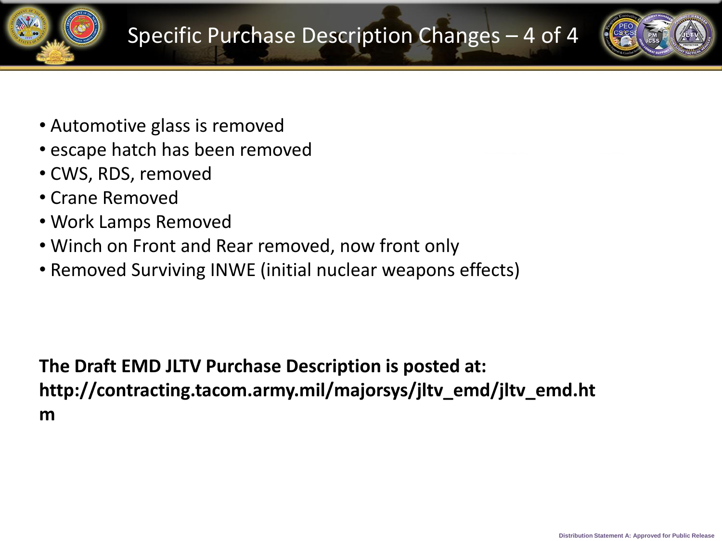

- Automotive glass is removed
- escape hatch has been removed
- CWS, RDS, removed
- Crane Removed
- Work Lamps Removed
- Winch on Front and Rear removed, now front only
- Removed Surviving INWE (initial nuclear weapons effects)

**The Draft EMD JLTV Purchase Description is posted at: http://contracting.tacom.army.mil/majorsys/jltv\_emd/jltv\_emd.ht m**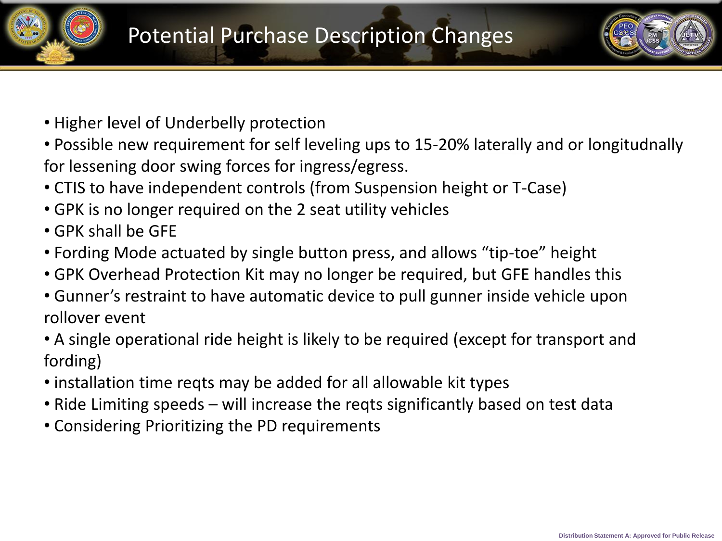



- Higher level of Underbelly protection
- Possible new requirement for self leveling ups to 15-20% laterally and or longitudnally for lessening door swing forces for ingress/egress.
- CTIS to have independent controls (from Suspension height or T-Case)
- GPK is no longer required on the 2 seat utility vehicles
- GPK shall be GFE
- Fording Mode actuated by single button press, and allows "tip-toe" height
- GPK Overhead Protection Kit may no longer be required, but GFE handles this
- Gunner's restraint to have automatic device to pull gunner inside vehicle upon rollover event
- A single operational ride height is likely to be required (except for transport and fording)
- installation time reqts may be added for all allowable kit types
- Ride Limiting speeds will increase the reqts significantly based on test data
- Considering Prioritizing the PD requirements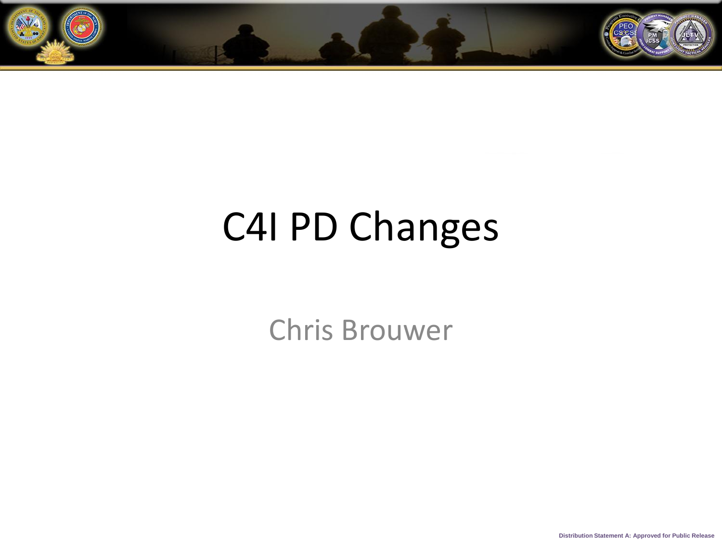

## C4I PD Changes

Chris Brouwer

**Distribution Statement A: Approved for Public Release**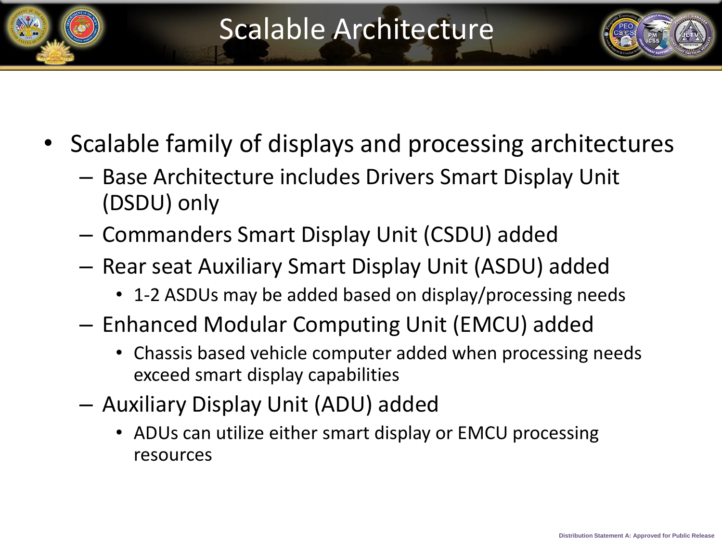

- Scalable family of displays and processing architectures
	- Base Architecture includes Drivers Smart Display Unit (DSDU) only
	- Commanders Smart Display Unit (CSDU) added
	- Rear seat Auxiliary Smart Display Unit (ASDU) added
		- 1-2 ASDUs may be added based on display/processing needs
	- Enhanced Modular Computing Unit (EMCU) added
		- Chassis based vehicle computer added when processing needs exceed smart display capabilities
	- Auxiliary Display Unit (ADU) added
		- ADUs can utilize either smart display or EMCU processing resources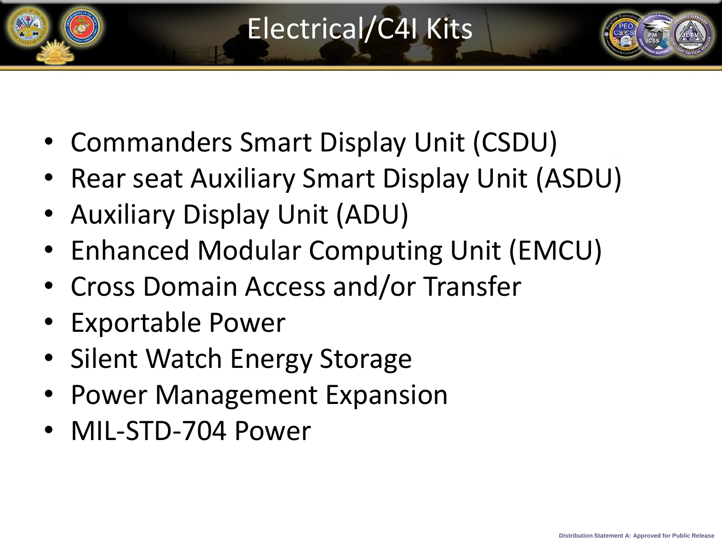

- Commanders Smart Display Unit (CSDU)
- Rear seat Auxiliary Smart Display Unit (ASDU)
- Auxiliary Display Unit (ADU)
- Enhanced Modular Computing Unit (EMCU)
- Cross Domain Access and/or Transfer
- Exportable Power
- Silent Watch Energy Storage
- Power Management Expansion
- MIL-STD-704 Power